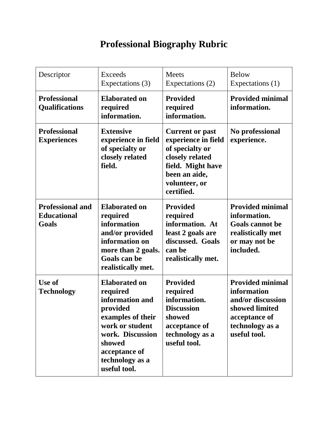## **Professional Biography Rubric**

| Descriptor                                             | <b>Exceeds</b><br>Expectations (3)                                                                                                                                                        | <b>Meets</b><br>Expectations (2)                                                                                                                         | <b>Below</b><br>Expectations (1)                                                                                                  |
|--------------------------------------------------------|-------------------------------------------------------------------------------------------------------------------------------------------------------------------------------------------|----------------------------------------------------------------------------------------------------------------------------------------------------------|-----------------------------------------------------------------------------------------------------------------------------------|
| <b>Professional</b><br><b>Qualifications</b>           | <b>Elaborated on</b><br>required<br>information.                                                                                                                                          | <b>Provided</b><br>required<br>information.                                                                                                              | <b>Provided minimal</b><br>information.                                                                                           |
| <b>Professional</b><br><b>Experiences</b>              | <b>Extensive</b><br>experience in field<br>of specialty or<br>closely related<br>field.                                                                                                   | <b>Current or past</b><br>experience in field<br>of specialty or<br>closely related<br>field. Might have<br>been an aide,<br>volunteer, or<br>certified. | No professional<br>experience.                                                                                                    |
| <b>Professional and</b><br><b>Educational</b><br>Goals | <b>Elaborated on</b><br>required<br>information<br>and/or provided<br>information on<br>more than 2 goals.<br>Goals can be<br>realistically met.                                          | <b>Provided</b><br>required<br>information. At<br>least 2 goals are<br>discussed. Goals<br>can be<br>realistically met.                                  | <b>Provided minimal</b><br>information.<br><b>Goals cannot be</b><br>realistically met<br>or may not be<br>included.              |
| Use of<br><b>Technology</b>                            | <b>Elaborated on</b><br>required<br>information and<br>provided<br>examples of their<br>work or student<br>work. Discussion<br>showed<br>acceptance of<br>technology as a<br>useful tool. | <b>Provided</b><br>required<br>information.<br><b>Discussion</b><br>showed<br>acceptance of<br>technology as a<br>useful tool.                           | <b>Provided minimal</b><br>information<br>and/or discussion<br>showed limited<br>acceptance of<br>technology as a<br>useful tool. |